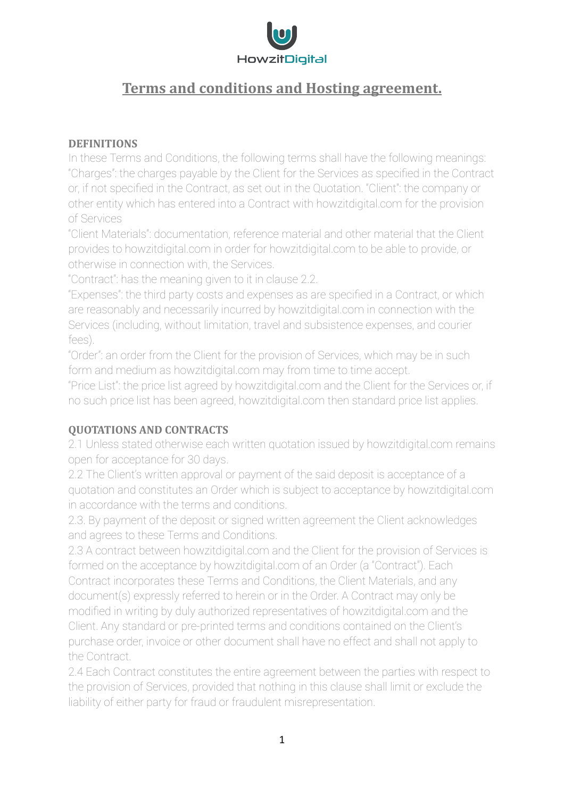

# **Terms and conditions and Hosting agreement.**

# **DEFINITIONS**

In these Terms and Conditions, the following terms shall have the following meanings: "Charges": the charges payable by the Client for the Services as specified in the Contract or, if not specified in the Contract, as set out in the Quotation. "Client": the company or other entity which has entered into a Contract with howzitdigital.com for the provision of Services

"Client Materials": documentation, reference material and other material that the Client provides to howzitdigital.com in order for howzitdigital.com to be able to provide, or otherwise in connection with, the Services.

"Contract": has the meaning given to it in clause 2.2.

"Expenses": the third party costs and expenses as are specified in a Contract, or which are reasonably and necessarily incurred by howzitdigital.com in connection with the Services (including, without limitation, travel and subsistence expenses, and courier fees).

"Order": an order from the Client for the provision of Services, which may be in such form and medium as howzitdigital.com may from time to time accept.

"Price List": the price list agreed by howzitdigital.com and the Client for the Services or, if no such price list has been agreed, howzitdigital.com then standard price list applies.

# **QUOTATIONS AND CONTRACTS**

2.1 Unless stated otherwise each written quotation issued by howzitdigital.com remains open for acceptance for 30 days.

2.2 The Client's written approval or payment of the said deposit is acceptance of a quotation and constitutes an Order which is subject to acceptance by howzitdigital.com in accordance with the terms and conditions.

2.3. By payment of the deposit or signed written agreement the Client acknowledges and agrees to these Terms and Conditions.

2.3 A contract between howzitdigital.com and the Client for the provision of Services is formed on the acceptance by howzitdigital.com of an Order (a "Contract"). Each Contract incorporates these Terms and Conditions, the Client Materials, and any document(s) expressly referred to herein or in the Order. A Contract may only be modified in writing by duly authorized representatives of howzitdigital.com and the Client. Any standard or pre-printed terms and conditions contained on the Client's purchase order, invoice or other document shall have no effect and shall not apply to the Contract.

2.4 Each Contract constitutes the entire agreement between the parties with respect to the provision of Services, provided that nothing in this clause shall limit or exclude the liability of either party for fraud or fraudulent misrepresentation.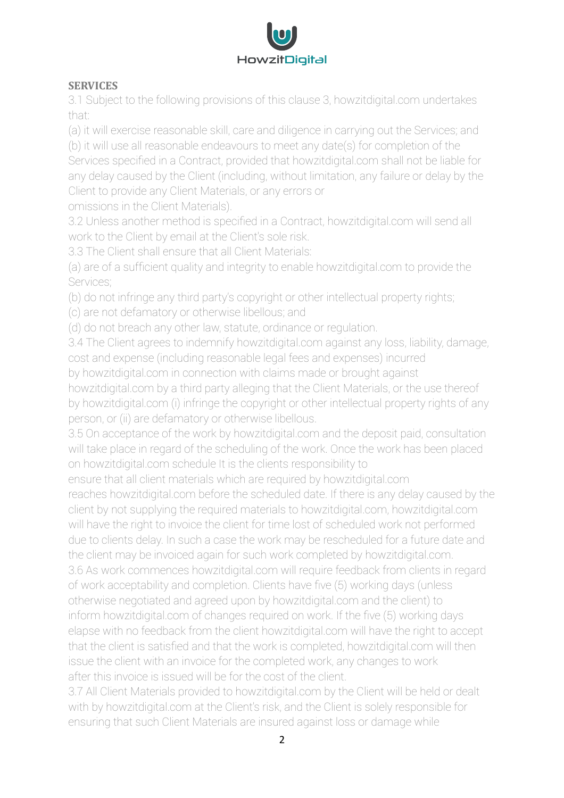

# **SERVICES**

3.1 Subject to the following provisions of this clause 3, howzitdigital.com undertakes that:

(a) it will exercise reasonable skill, care and diligence in carrying out the Services; and

(b) it will use all reasonable endeavours to meet any date(s) for completion of the Services specified in a Contract, provided that howzitdigital.com shall not be liable for any delay caused by the Client (including, without limitation, any failure or delay by the Client to provide any Client Materials, or any errors or omissions in the Client Materials).

3.2 Unless another method is specified in a Contract, howzitdigital.com will send all work to the Client by email at the Client's sole risk.

3.3 The Client shall ensure that all Client Materials:

(a) are of a sufficient quality and integrity to enable howzitdigital.com to provide the Services;

(b) do not infringe any third party's copyright or other intellectual property rights;

(c) are not defamatory or otherwise libellous; and

(d) do not breach any other law, statute, ordinance or regulation.

3.4 The Client agrees to indemnify howzitdigital.com against any loss, liability, damage, cost and expense (including reasonable legal fees and expenses) incurred

by howzitdigital.com in connection with claims made or brought against howzitdigital.com by a third party alleging that the Client Materials, or the use thereof

by howzitdigital.com (i) infringe the copyright or other intellectual property rights of any person, or (ii) are defamatory or otherwise libellous.

3.5 On acceptance of the work by howzitdigital.com and the deposit paid, consultation will take place in regard of the scheduling of the work. Once the work has been placed on howzitdigital.com schedule It is the clients responsibility to

ensure that all client materials which are required by howzitdigital.com

reaches howzitdigital.com before the scheduled date. If there is any delay caused by the client by not supplying the required materials to howzitdigital.com, howzitdigital.com will have the right to invoice the client for time lost of scheduled work not performed due to clients delay. In such a case the work may be rescheduled for a future date and the client may be invoiced again for such work completed by howzitdigital.com.

3.6 As work commences howzitdigital.com will require feedback from clients in regard of work acceptability and completion. Clients have five (5) working days (unless otherwise negotiated and agreed upon by howzitdigital.com and the client) to inform howzitdigital.com of changes required on work. If the five (5) working days elapse with no feedback from the client howzitdigital.com will have the right to accept that the client is satisfied and that the work is completed, howzitdigital.com will then issue the client with an invoice for the completed work, any changes to work after this invoice is issued will be for the cost of the client.

3.7 All Client Materials provided to howzitdigital.com by the Client will be held or dealt with by howzitdigital.com at the Client's risk, and the Client is solely responsible for ensuring that such Client Materials are insured against loss or damage while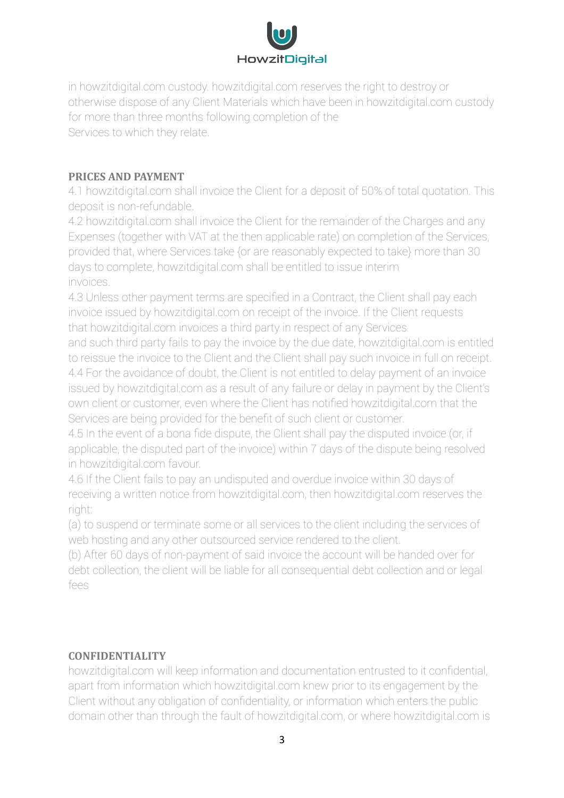

in howzitdigital.com custody. howzitdigital.com reserves the right to destroy or otherwise dispose of any Client Materials which have been in howzitdigital.com custody for more than three months following completion of the Services to which they relate.

# **PRICES AND PAYMENT**

4.1 howzitdigital.com shall invoice the Client for a deposit of 50% of total quotation. This deposit is non-refundable.

4.2 howzitdigital.com shall invoice the Client for the remainder of the Charges and any Expenses (together with VAT at the then applicable rate) on completion of the Services, provided that, where Services take {or are reasonably expected to take} more than 30 days to complete, howzitdigital.com shall be entitled to issue interim invoices.

4.3 Unless other payment terms are specified in a Contract, the Client shall pay each invoice issued by howzitdigital.com on receipt of the invoice. If the Client requests that howzitdigital.com invoices a third party in respect of any Services

and such third party fails to pay the invoice by the due date, howzitdigital.com is entitled to reissue the invoice to the Client and the Client shall pay such invoice in full on receipt. 4.4 For the avoidance of doubt, the Client is not entitled to delay payment of an invoice issued by howzitdigital.com as a result of any failure or delay in payment by the Client's own client or customer, even where the Client has notified howzitdigital.com that the Services are being provided for the benefit of such client or customer.

4.5 In the event of a bona fide dispute, the Client shall pay the disputed invoice (or, if applicable, the disputed part of the invoice) within 7 days of the dispute being resolved in howzitdigital.com favour.

4.6 If the Client fails to pay an undisputed and overdue invoice within 30 days of receiving a written notice from howzitdigital.com, then howzitdigital.com reserves the right:

(a) to suspend or terminate some or all services to the client including the services of web hosting and any other outsourced service rendered to the client.

(b) After 60 days of non-payment of said invoice the account will be handed over for debt collection, the client will be liable for all consequential debt collection and or legal fees

# **CONFIDENTIALITY**

howzitdigital.com will keep information and documentation entrusted to it confidential, apart from information which howzitdigital.com knew prior to its engagement by the Client without any obligation of confidentiality, or information which enters the public domain other than through the fault of howzitdigital.com, or where howzitdigital.com is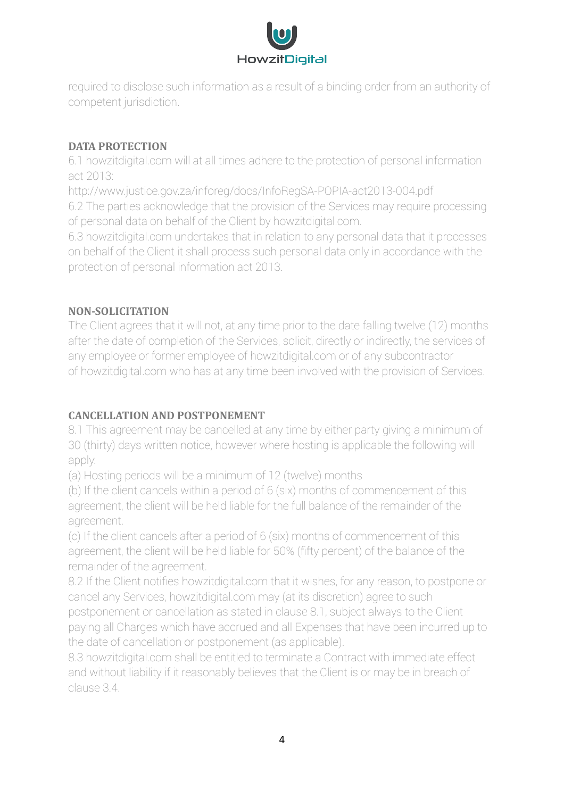

required to disclose such information as a result of a binding order from an authority of competent jurisdiction.

# **DATA PROTECTION**

6.1 howzitdigital.com will at all times adhere to the protection of personal information act 2013:

http://www.justice.gov.za/inforeg/docs/InfoRegSA-POPIA-act2013-004.pdf 6.2 The parties acknowledge that the provision of the Services may require processing of personal data on behalf of the Client by howzitdigital.com.

6.3 howzitdigital.com undertakes that in relation to any personal data that it processes on behalf of the Client it shall process such personal data only in accordance with the protection of personal information act 2013.

# **NON-SOLICITATION**

The Client agrees that it will not, at any time prior to the date falling twelve (12) months after the date of completion of the Services, solicit, directly or indirectly, the services of any employee or former employee of howzitdigital.com or of any subcontractor of howzitdigital.com who has at any time been involved with the provision of Services.

# **CANCELLATION AND POSTPONEMENT**

8.1 This agreement may be cancelled at any time by either party giving a minimum of 30 (thirty) days written notice, however where hosting is applicable the following will apply:

(a) Hosting periods will be a minimum of 12 (twelve) months

(b) If the client cancels within a period of 6 (six) months of commencement of this agreement, the client will be held liable for the full balance of the remainder of the agreement.

(c) If the client cancels after a period of 6 (six) months of commencement of this agreement, the client will be held liable for 50% (fifty percent) of the balance of the remainder of the agreement.

8.2 If the Client notifies howzitdigital.com that it wishes, for any reason, to postpone or cancel any Services, howzitdigital.com may (at its discretion) agree to such postponement or cancellation as stated in clause 8.1, subject always to the Client paying all Charges which have accrued and all Expenses that have been incurred up to the date of cancellation or postponement (as applicable).

8.3 howzitdigital.com shall be entitled to terminate a Contract with immediate effect and without liability if it reasonably believes that the Client is or may be in breach of clause 3.4.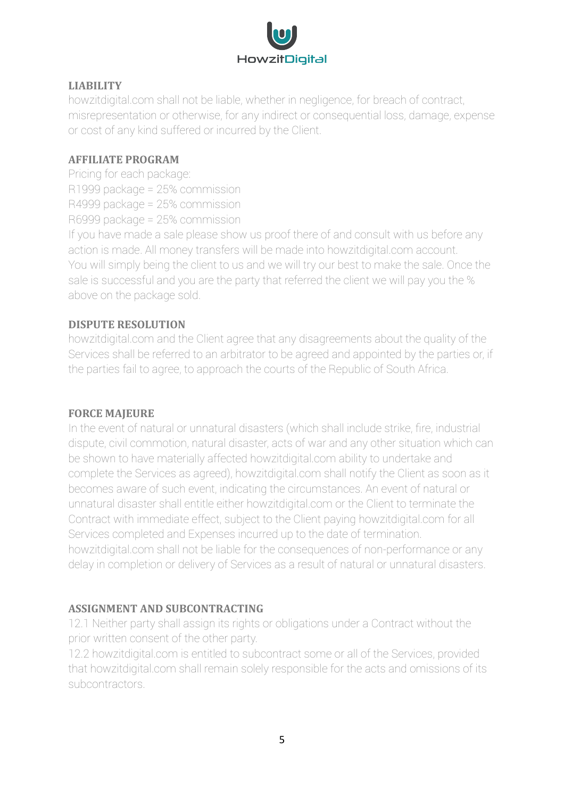

#### **LIABILITY**

howzitdigital.com shall not be liable, whether in negligence, for breach of contract, misrepresentation or otherwise, for any indirect or consequential loss, damage, expense or cost of any kind suffered or incurred by the Client.

#### **AFFILIATE PROGRAM**

Pricing for each package: R1999 package = 25% commission R4999 package = 25% commission R6999 package = 25% commission

If you have made a sale please show us proof there of and consult with us before any action is made. All money transfers will be made into howzitdigital.com account. You will simply being the client to us and we will try our best to make the sale. Once the sale is successful and you are the party that referred the client we will pay you the % above on the package sold.

# **DISPUTE RESOLUTION**

howzitdigital.com and the Client agree that any disagreements about the quality of the Services shall be referred to an arbitrator to be agreed and appointed by the parties or, if the parties fail to agree, to approach the courts of the Republic of South Africa.

# **FORCE MAIEURE**

In the event of natural or unnatural disasters (which shall include strike, fire, industrial dispute, civil commotion, natural disaster, acts of war and any other situation which can be shown to have materially affected howzitdigital.com ability to undertake and complete the Services as agreed), howzitdigital.com shall notify the Client as soon as it becomes aware of such event, indicating the circumstances. An event of natural or unnatural disaster shall entitle either howzitdigital.com or the Client to terminate the Contract with immediate effect, subject to the Client paying howzitdigital.com for all Services completed and Expenses incurred up to the date of termination. howzitdigital.com shall not be liable for the consequences of non-performance or any delay in completion or delivery of Services as a result of natural or unnatural disasters.

# **ASSIGNMENT AND SUBCONTRACTING**

12.1 Neither party shall assign its rights or obligations under a Contract without the prior written consent of the other party.

12.2 howzitdigital.com is entitled to subcontract some or all of the Services, provided that howzitdigital.com shall remain solely responsible for the acts and omissions of its subcontractors.